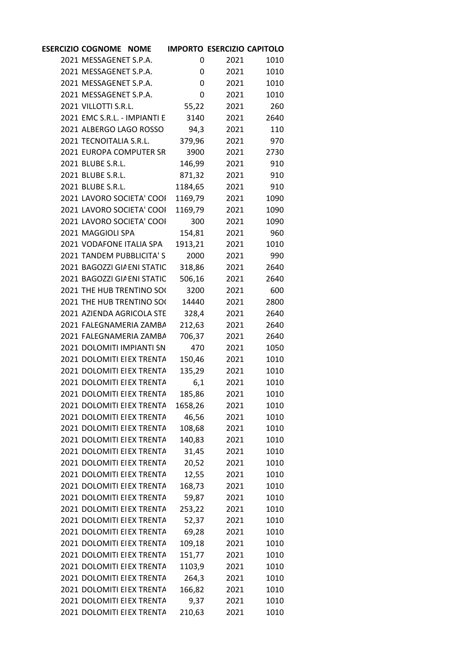| ESERCIZIO COGNOME NOME IMPORTO ESERCIZIO CAPITOLO |         |             |             |  |
|---------------------------------------------------|---------|-------------|-------------|--|
| 2021 MESSAGENET S.P.A.                            | 0       | 2021        | 1010        |  |
| 2021 MESSAGENET S.P.A.                            | 0       | 2021        | 1010        |  |
| 2021 MESSAGENET S.P.A.                            | 0       | 2021        | 1010        |  |
| 2021 MESSAGENET S.P.A.                            | 0       | 2021        | 1010        |  |
| 2021 VILLOTTI S.R.L.                              | 55,22   | 2021        | 260         |  |
| 2021 EMC S.R.L. - IMPIANTI E 3140                 |         |             | 2021 2640   |  |
| 2021 ALBERGO LAGO ROSSO 94,3                      |         | 2021        | 110         |  |
| 2021 TECNOITALIA S.R.L.                           | 379,96  | 2021        | 970         |  |
| 2021 EUROPA COMPUTER SR                           | 3900    | 2021        | 2730        |  |
| 2021 BLUBE S.R.L.                                 | 146,99  |             | 2021<br>910 |  |
| 2021 BLUBE S.R.L.                                 | 871,32  | 2021        | 910         |  |
| 2021 BLUBE S.R.L.                                 | 1184,65 | 2021        | 910         |  |
| 2021 LAVORO SOCIETA' COOI                         | 1169,79 | 2021        | 1090        |  |
| 2021 LAVORO SOCIETA' COOI                         | 1169,79 | 2021        | 1090        |  |
| 2021 LAVORO SOCIETA' COOI                         |         | 300<br>2021 | 1090        |  |
| 2021 MAGGIOLI SPA                                 | 154,81  | 2021        | 960         |  |
| 2021 VODAFONE ITALIA SPA                          | 1913,21 | 2021        | 1010        |  |
| 2021 TANDEM PUBBLICITA'S                          | 2000    | 2021        | 990         |  |
| 2021 BAGOZZI GIA ENI STATIC                       | 318,86  | 2021        | 2640        |  |
| 2021 BAGOZZI GIA ENI STATIC                       | 506,16  | 2021        | 2640        |  |
| 2021 THE HUB TRENTINO SO(                         | 3200    | 2021        | 600         |  |
| 2021 THE HUB TRENTINO SO(                         | 14440   | 2021        | 2800        |  |
| 2021 AZIENDA AGRICOLA STE                         | 328,4   | 2021        | 2640        |  |
| 2021 FALEGNAMERIA ZAMBA                           | 212,63  | 2021        | 2640        |  |
| 2021 FALEGNAMERIA ZAMBA                           | 706,37  | 2021        | 2640        |  |
| 2021 DOLOMITI IMPIANTI SN                         | 470     | 2021        | 1050        |  |
| 2021 DOLOMITI EI EX TRENTA                        | 150,46  | 2021        | 1010        |  |
| 2021 DOLOMITI EI EX TRENTA                        | 135,29  | 2021        | 1010        |  |
| 2021 DOLOMITI EI EX TRENTA                        |         | 6,1<br>2021 | 1010        |  |
| 2021 DOLOMITI EI EX TRENTA                        | 185,86  | 2021        | 1010        |  |
| 2021 DOLOMITI EI EX TRENTA                        | 1658,26 | 2021        | 1010        |  |
| 2021 DOLOMITI EI EX TRENTA                        | 46,56   | 2021        | 1010        |  |
| 2021 DOLOMITI EI EX TRENTA                        | 108,68  | 2021        | 1010        |  |
| 2021 DOLOMITI EI EX TRENTA                        | 140,83  | 2021        | 1010        |  |
| 2021 DOLOMITI EI EX TRENTA                        | 31,45   | 2021        | 1010        |  |
| 2021 DOLOMITI EI EX TRENTA                        | 20,52   | 2021        | 1010        |  |
| 2021 DOLOMITI EI EX TRENTA                        | 12,55   | 2021        | 1010        |  |
| 2021 DOLOMITI EI EX TRENTA                        | 168,73  | 2021        | 1010        |  |
| 2021 DOLOMITI EI EX TRENTA                        | 59,87   | 2021        | 1010        |  |
| 2021 DOLOMITI EI EX TRENTA                        | 253,22  | 2021        | 1010        |  |
| 2021 DOLOMITI EI EX TRENTA                        | 52,37   | 2021        | 1010        |  |
| 2021 DOLOMITI EI EX TRENTA                        | 69,28   | 2021        | 1010        |  |
| 2021 DOLOMITI EI EX TRENTA                        | 109,18  | 2021        | 1010        |  |
| 2021 DOLOMITI EI EX TRENTA                        | 151,77  | 2021        | 1010        |  |
| 2021 DOLOMITI EI EX TRENTA                        | 1103,9  | 2021        | 1010        |  |
| 2021 DOLOMITI EI EX TRENTA                        | 264,3   | 2021        | 1010        |  |
| 2021 DOLOMITI EI EX TRENTA                        | 166,82  | 2021        | 1010        |  |
| 2021 DOLOMITI EI EX TRENTA                        | 9,37    | 2021        | 1010        |  |
| 2021 DOLOMITI EI EX TRENTA                        | 210,63  | 2021        | 1010        |  |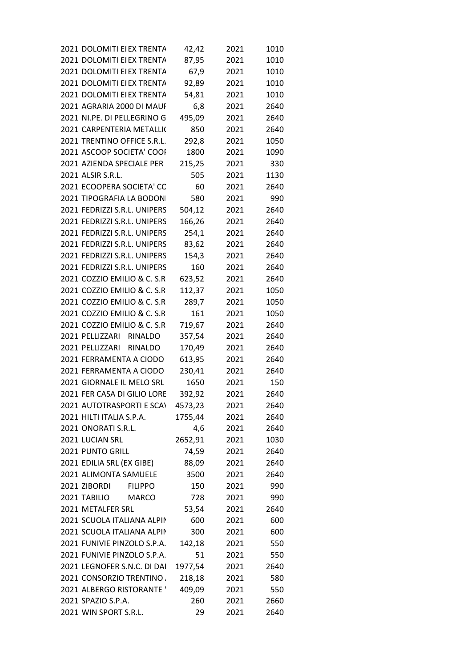| 2021 DOLOMITI EI EX TRENTA              | 42,42   | 2021        | 1010 |  |
|-----------------------------------------|---------|-------------|------|--|
| 2021 DOLOMITI EI EX TRENTA              | 87,95   | 2021        | 1010 |  |
| 2021 DOLOMITI EI EX TRENTA 67,9 2021    |         |             | 1010 |  |
| 2021 DOLOMITI EI EX TRENTA              | 92,89   | 2021        | 1010 |  |
| 2021 DOLOMITI EI EX TRENTA              | 54,81   | 2021        | 1010 |  |
| 2021 AGRARIA 2000 DI MAUI               | 6,8     | 2021        | 2640 |  |
| 2021 NI.PE. DI PELLEGRINO G             | 495,09  | 2021        | 2640 |  |
| 2021 CARPENTERIA METALLI(               | 850     | 2021        | 2640 |  |
| 2021 TRENTINO OFFICE S.R.L.             | 292,8   | 2021        | 1050 |  |
| 2021 ASCOOP SOCIETA' COOI               | 1800    | 2021        | 1090 |  |
| 2021 AZIENDA SPECIALE PER               | 215,25  | 2021 330    |      |  |
| 2021 ALSIR S.R.L.                       | 505     | 2021        | 1130 |  |
| 2021 ECOOPERA SOCIETA' CC               | 60      | 2021        | 2640 |  |
| 2021 TIPOGRAFIA LA BODON                | 580     | 2021        | 990  |  |
| 2021 FEDRIZZI S.R.L. UNIPERS            | 504,12  | 2021        | 2640 |  |
| 2021 FEDRIZZI S.R.L. UNIPERS            |         | 166,26 2021 | 2640 |  |
| 2021 FEDRIZZI S.R.L. UNIPERS            | 254,1   | 2021        | 2640 |  |
| 2021 FEDRIZZI S.R.L. UNIPERS            | 83,62   | 2021        | 2640 |  |
| 2021 FEDRIZZI S.R.L. UNIPERS            | 154,3   | 2021        | 2640 |  |
| 2021 FEDRIZZI S.R.L. UNIPERS            | 160     | 2021        | 2640 |  |
| 2021 COZZIO EMILIO & C. S.R 623,52 2021 |         |             | 2640 |  |
| 2021 COZZIO EMILIO & C. S.R             | 112,37  | 2021        | 1050 |  |
| 2021 COZZIO EMILIO & C. S.R             | 289,7   | 2021        | 1050 |  |
| 2021 COZZIO EMILIO & C. S.R             | 161     | 2021        | 1050 |  |
| 2021 COZZIO EMILIO & C. S.R             | 719,67  | 2021        | 2640 |  |
| 2021 PELLIZZARI RINALDO                 | 357,54  | 2021        | 2640 |  |
| 2021 PELLIZZARI RINALDO                 | 170,49  | 2021        | 2640 |  |
| 2021 FERRAMENTA A CIODO                 | 613,95  | 2021        | 2640 |  |
| 2021 FERRAMENTA A CIODO                 | 230,41  | 2021        | 2640 |  |
| 2021 GIORNALE IL MELO SRL               |         | 1650 2021   | 150  |  |
| 2021 FER CASA DI GILIO LORE             | 392,92  | 2021        | 2640 |  |
| 2021 AUTOTRASPORTI E SCAN               | 4573,23 | 2021        | 2640 |  |
| 2021 HILTI ITALIA S.P.A.                | 1755,44 | 2021        | 2640 |  |
| 2021 ONORATI S.R.L.                     | 4,6     | 2021        | 2640 |  |
| 2021 LUCIAN SRL                         | 2652,91 | 2021        | 1030 |  |
| 2021 PUNTO GRILL                        | 74,59   | 2021        | 2640 |  |
| 2021 EDILIA SRL (EX GIBE)               | 88,09   | 2021        | 2640 |  |
| 2021 ALIMONTA SAMUELE                   | 3500    | 2021        | 2640 |  |
| 2021 ZIBORDI<br><b>FILIPPO</b>          | 150     | 2021        | 990  |  |
| 2021 TABILIO<br><b>MARCO</b>            | 728     | 2021        | 990  |  |
| 2021 METALFER SRL                       | 53,54   | 2021        | 2640 |  |
| 2021 SCUOLA ITALIANA ALPIN              | 600     | 2021        | 600  |  |
| 2021 SCUOLA ITALIANA ALPIN              | 300     | 2021        | 600  |  |
| 2021 FUNIVIE PINZOLO S.P.A.             | 142,18  | 2021        | 550  |  |
| 2021 FUNIVIE PINZOLO S.P.A.             | 51      | 2021        | 550  |  |
| 2021 LEGNOFER S.N.C. DI DAI             | 1977,54 | 2021        | 2640 |  |
| 2021 CONSORZIO TRENTINO                 | 218,18  | 2021        | 580  |  |
| 2021 ALBERGO RISTORANTE '               | 409,09  | 2021        | 550  |  |
| 2021 SPAZIO S.P.A.                      | 260     | 2021        | 2660 |  |
| 2021 WIN SPORT S.R.L.                   | 29      | 2021        | 2640 |  |
|                                         |         |             |      |  |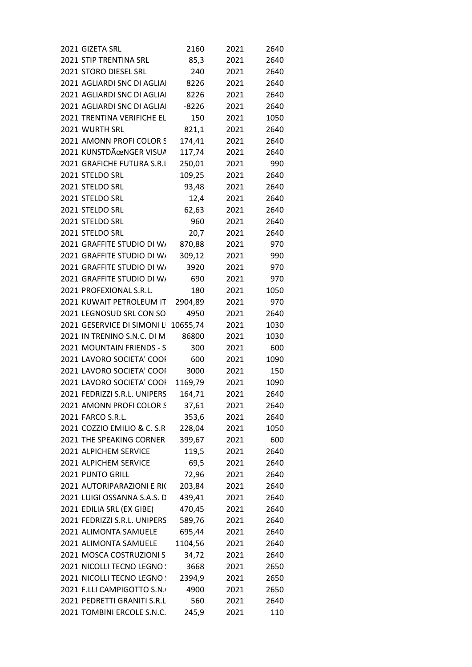| 2021 GIZETA SRL                      | 2160    | 2021 | 2640 |
|--------------------------------------|---------|------|------|
| 2021 STIP TRENTINA SRL               | 85,3    | 2021 | 2640 |
| 2021 STORO DIESEL SRL                | 240     | 2021 | 2640 |
| 2021 AGLIARDI SNC DI AGLIAI          | 8226    | 2021 | 2640 |
| 2021 AGLIARDI SNC DI AGLIAI          | 8226    | 2021 | 2640 |
| 2021 AGLIARDI SNC DI AGLIAI          | $-8226$ | 2021 | 2640 |
| 2021 TRENTINA VERIFICHE EL           | 150     | 2021 | 1050 |
| 2021 WURTH SRL                       | 821,1   | 2021 | 2640 |
| 2021 AMONN PROFI COLOR S             | 174,41  | 2021 | 2640 |
| 2021 KUNSTDÄœNGER VISUA              | 117,74  | 2021 | 2640 |
| 2021 GRAFICHE FUTURA S.R.I           | 250,01  | 2021 | 990  |
| 2021 STELDO SRL                      | 109,25  | 2021 | 2640 |
| 2021 STELDO SRL                      | 93,48   | 2021 | 2640 |
|                                      |         |      |      |
| 2021 STELDO SRL                      | 12,4    | 2021 | 2640 |
| 2021 STELDO SRL                      | 62,63   | 2021 | 2640 |
| 2021 STELDO SRL                      | 960     | 2021 | 2640 |
| 2021 STELDO SRL                      | 20,7    | 2021 | 2640 |
| 2021 GRAFFITE STUDIO DI W/           | 870,88  | 2021 | 970  |
| 2021 GRAFFITE STUDIO DI W/           | 309,12  | 2021 | 990  |
| 2021 GRAFFITE STUDIO DI W/           | 3920    | 2021 | 970  |
| 2021 GRAFFITE STUDIO DI W/           | 690     | 2021 | 970  |
| 2021 PROFEXIONAL S.R.L.              | 180     | 2021 | 1050 |
| 2021 KUWAIT PETROLEUM IT             | 2904,89 | 2021 | 970  |
| 2021 LEGNOSUD SRL CON SO             | 4950    | 2021 | 2640 |
| 2021 GESERVICE DI SIMONI L' 10655,74 |         | 2021 | 1030 |
| 2021 IN TRENINO S.N.C. DI M          | 86800   | 2021 | 1030 |
| 2021 MOUNTAIN FRIENDS - S            | 300     | 2021 | 600  |
| 2021 LAVORO SOCIETA' COOI            | 600     | 2021 | 1090 |
| 2021 LAVORO SOCIETA' COOI            | 3000    | 2021 | 150  |
|                                      |         |      |      |
| 2021 LAVORO SOCIETA' COOI            | 1169,79 | 2021 | 1090 |
| 2021 FEDRIZZI S.R.L. UNIPERS         | 164,71  | 2021 | 2640 |
| 2021 AMONN PROFI COLOR S             | 37,61   | 2021 | 2640 |
| 2021 FARCO S.R.L.                    | 353,6   | 2021 | 2640 |
| 2021 COZZIO EMILIO & C. S.R          | 228,04  | 2021 | 1050 |
| 2021 THE SPEAKING CORNER             | 399,67  | 2021 | 600  |
| 2021 ALPICHEM SERVICE                | 119,5   | 2021 | 2640 |
| 2021 ALPICHEM SERVICE                | 69,5    | 2021 | 2640 |
| 2021 PUNTO GRILL                     | 72,96   | 2021 | 2640 |
| 2021 AUTORIPARAZIONI E RIC           | 203,84  | 2021 | 2640 |
| 2021 LUIGI OSSANNA S.A.S. D          | 439,41  | 2021 | 2640 |
| 2021 EDILIA SRL (EX GIBE)            | 470,45  | 2021 | 2640 |
| 2021 FEDRIZZI S.R.L. UNIPERS         | 589,76  | 2021 | 2640 |
| 2021 ALIMONTA SAMUELE                | 695,44  | 2021 | 2640 |
|                                      |         |      |      |
| 2021 ALIMONTA SAMUELE                | 1104,56 | 2021 | 2640 |
| 2021 MOSCA COSTRUZIONI S             | 34,72   | 2021 | 2640 |
| 2021 NICOLLI TECNO LEGNO !           | 3668    | 2021 | 2650 |
| 2021 NICOLLI TECNO LEGNO :           | 2394,9  | 2021 | 2650 |
| 2021 F.LLI CAMPIGOTTO S.N.           | 4900    | 2021 | 2650 |
| 2021 PEDRETTI GRANITI S.R.L          | 560     | 2021 | 2640 |
| 2021 TOMBINI ERCOLE S.N.C.           | 245,9   | 2021 | 110  |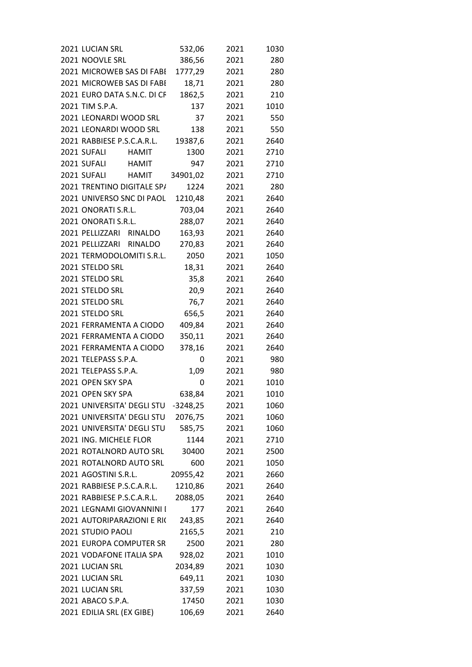| 2021 LUCIAN SRL             | 532,06     | 2021 | 1030 |
|-----------------------------|------------|------|------|
| 2021 NOOVLE SRL             | 386,56     | 2021 | 280  |
| 2021 MICROWEB SAS DI FABI   | 1777,29    | 2021 | 280  |
| 2021 MICROWEB SAS DI FABI   | 18,71      | 2021 | 280  |
| 2021 EURO DATA S.N.C. DI CF | 1862,5     | 2021 | 210  |
| 2021 TIM S.P.A.             | 137        | 2021 | 1010 |
| 2021 LEONARDI WOOD SRL      | 37         | 2021 | 550  |
| 2021 LEONARDI WOOD SRL      | 138        | 2021 | 550  |
| 2021 RABBIESE P.S.C.A.R.L.  | 19387,6    | 2021 | 2640 |
| 2021 SUFALI<br>HAMIT        | 1300       | 2021 | 2710 |
| 2021 SUFALI<br><b>HAMIT</b> | 947        | 2021 | 2710 |
| 2021 SUFALI<br><b>HAMIT</b> | 34901,02   | 2021 | 2710 |
| 2021 TRENTINO DIGITALE SP/  | 1224       | 2021 | 280  |
| 2021 UNIVERSO SNC DI PAOL   | 1210,48    | 2021 | 2640 |
| 2021 ONORATI S.R.L.         | 703,04     | 2021 | 2640 |
| 2021 ONORATI S.R.L.         | 288,07     | 2021 | 2640 |
| 2021 PELLIZZARI RINALDO     | 163,93     | 2021 | 2640 |
| 2021 PELLIZZARI RINALDO     | 270,83     | 2021 | 2640 |
| 2021 TERMODOLOMITI S.R.L.   | 2050       | 2021 | 1050 |
| 2021 STELDO SRL             | 18,31      | 2021 | 2640 |
| 2021 STELDO SRL             | 35,8       | 2021 | 2640 |
| 2021 STELDO SRL             |            |      | 2640 |
| 2021 STELDO SRL             | 20,9       | 2021 |      |
|                             | 76,7       | 2021 | 2640 |
| 2021 STELDO SRL             | 656,5      | 2021 | 2640 |
| 2021 FERRAMENTA A CIODO     | 409,84     | 2021 | 2640 |
| 2021 FERRAMENTA A CIODO     | 350,11     | 2021 | 2640 |
| 2021 FERRAMENTA A CIODO     | 378,16     | 2021 | 2640 |
| 2021 TELEPASS S.P.A.        | 0          | 2021 | 980  |
| 2021 TELEPASS S.P.A.        | 1,09       | 2021 | 980  |
| 2021 OPEN SKY SPA           | 0          | 2021 | 1010 |
| 2021 OPEN SKY SPA           | 638,84     | 2021 | 1010 |
| 2021 UNIVERSITA' DEGLI STU  | $-3248,25$ | 2021 | 1060 |
| 2021 UNIVERSITA' DEGLI STU  | 2076,75    | 2021 | 1060 |
| 2021 UNIVERSITA' DEGLI STU  | 585,75     | 2021 | 1060 |
| 2021 ING. MICHELE FLOR      | 1144       | 2021 | 2710 |
| 2021 ROTALNORD AUTO SRL     | 30400      | 2021 | 2500 |
| 2021 ROTALNORD AUTO SRL     | 600        | 2021 | 1050 |
| 2021 AGOSTINI S.R.L.        | 20955,42   | 2021 | 2660 |
| 2021 RABBIESE P.S.C.A.R.L.  | 1210,86    | 2021 | 2640 |
| 2021 RABBIESE P.S.C.A.R.L.  | 2088,05    | 2021 | 2640 |
| 2021 LEGNAMI GIOVANNINI I   | 177        | 2021 | 2640 |
| 2021 AUTORIPARAZIONI E RI(  | 243,85     | 2021 | 2640 |
| 2021 STUDIO PAOLI           | 2165,5     | 2021 | 210  |
| 2021 EUROPA COMPUTER SR     | 2500       | 2021 | 280  |
| 2021 VODAFONE ITALIA SPA    | 928,02     | 2021 | 1010 |
| 2021 LUCIAN SRL             | 2034,89    | 2021 | 1030 |
| 2021 LUCIAN SRL             | 649,11     | 2021 | 1030 |
| 2021 LUCIAN SRL             | 337,59     | 2021 | 1030 |
| 2021 ABACO S.P.A.           | 17450      | 2021 | 1030 |
| 2021 EDILIA SRL (EX GIBE)   | 106,69     | 2021 | 2640 |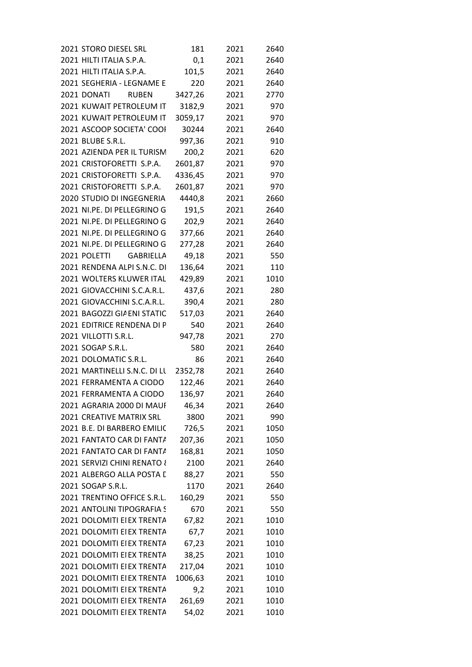| 2021 STORO DIESEL SRL                | 181     | 2021 | 2640 |  |
|--------------------------------------|---------|------|------|--|
| 2021 HILTI ITALIA S.P.A.             | 0,1     | 2021 | 2640 |  |
| 2021 HILTI ITALIA S.P.A.             | 101,5   | 2021 | 2640 |  |
| 2021 SEGHERIA - LEGNAME E            | 220     | 2021 | 2640 |  |
| 2021 DONATI<br><b>RUBEN</b>          | 3427,26 | 2021 | 2770 |  |
| 2021 KUWAIT PETROLEUM IT             | 3182,9  | 2021 | 970  |  |
| 2021 KUWAIT PETROLEUM IT 3059,17     |         | 2021 | 970  |  |
| 2021 ASCOOP SOCIETA' COOI            | 30244   | 2021 | 2640 |  |
| 2021 BLUBE S.R.L.                    | 997,36  | 2021 | 910  |  |
| 2021 AZIENDA PER IL TURISM           | 200,2   | 2021 | 620  |  |
| 2021 CRISTOFORETTI S.P.A.            | 2601,87 | 2021 | 970  |  |
| 2021 CRISTOFORETTI S.P.A.            | 4336,45 | 2021 | 970  |  |
| 2021 CRISTOFORETTI S.P.A.            | 2601,87 | 2021 | 970  |  |
| 2020 STUDIO DI INGEGNERIA 4440,8     |         | 2021 | 2660 |  |
| 2021 NI.PE. DI PELLEGRINO G          | 191,5   | 2021 | 2640 |  |
| 2021 NI.PE. DI PELLEGRINO G          | 202,9   | 2021 | 2640 |  |
| 2021 NI.PE. DI PELLEGRINO G          | 377,66  | 2021 | 2640 |  |
| 2021 NI.PE. DI PELLEGRINO G          | 277,28  | 2021 | 2640 |  |
| 2021 POLETTI<br>GABRIELLA            | 49,18   | 2021 | 550  |  |
| 2021 RENDENA ALPI S.N.C. DI          | 136,64  | 2021 | 110  |  |
| 2021 WOLTERS KLUWER ITAL             | 429,89  | 2021 | 1010 |  |
| 2021 GIOVACCHINI S.C.A.R.L.          | 437,6   | 2021 | 280  |  |
| 2021 GIOVACCHINI S.C.A.R.L.          | 390,4   | 2021 | 280  |  |
| 2021 BAGOZZI GIA ENI STATIC          | 517,03  | 2021 | 2640 |  |
| 2021 EDITRICE RENDENA DI P           | 540     | 2021 | 2640 |  |
| 2021 VILLOTTI S.R.L.                 | 947,78  | 2021 | 270  |  |
| 2021 SOGAP S.R.L.                    | 580     | 2021 | 2640 |  |
| 2021 DOLOMATIC S.R.L.                | 86      | 2021 | 2640 |  |
| 2021 MARTINELLI S.N.C. DI LL 2352,78 |         | 2021 | 2640 |  |
| 2021 FERRAMENTA A CIODO              | 122,46  | 2021 | 2640 |  |
| 2021 FERRAMENTA A CIODO              | 136,97  | 2021 | 2640 |  |
| 2021 AGRARIA 2000 DI MAUI            | 46,34   | 2021 | 2640 |  |
| 2021 CREATIVE MATRIX SRL             | 3800    | 2021 | 990  |  |
| 2021 B.E. DI BARBERO EMILIC          | 726,5   | 2021 | 1050 |  |
| 2021 FANTATO CAR DI FANTA            | 207,36  | 2021 | 1050 |  |
| 2021 FANTATO CAR DI FANTA            | 168,81  | 2021 | 1050 |  |
| 2021 SERVIZI CHINI RENATO &          | 2100    | 2021 | 2640 |  |
| 2021 ALBERGO ALLA POSTA I            | 88,27   | 2021 | 550  |  |
| 2021 SOGAP S.R.L.                    | 1170    | 2021 | 2640 |  |
| 2021 TRENTINO OFFICE S.R.L.          | 160,29  | 2021 | 550  |  |
| 2021 ANTOLINI TIPOGRAFIA S           | 670     | 2021 | 550  |  |
| 2021 DOLOMITI EI EX TRENTA           | 67,82   | 2021 | 1010 |  |
| 2021 DOLOMITI EI EX TRENTA           | 67,7    | 2021 | 1010 |  |
| 2021 DOLOMITI EI EX TRENTA           | 67,23   | 2021 | 1010 |  |
| 2021 DOLOMITI EI EX TRENTA           | 38,25   | 2021 | 1010 |  |
| 2021 DOLOMITI EI EX TRENTA           | 217,04  | 2021 | 1010 |  |
| 2021 DOLOMITI EI EX TRENTA           | 1006,63 | 2021 | 1010 |  |
| 2021 DOLOMITI EI EX TRENTA           | 9,2     | 2021 | 1010 |  |
| 2021 DOLOMITI EI EX TRENTA           | 261,69  | 2021 | 1010 |  |
| 2021 DOLOMITI EI EX TRENTA           | 54,02   | 2021 | 1010 |  |
|                                      |         |      |      |  |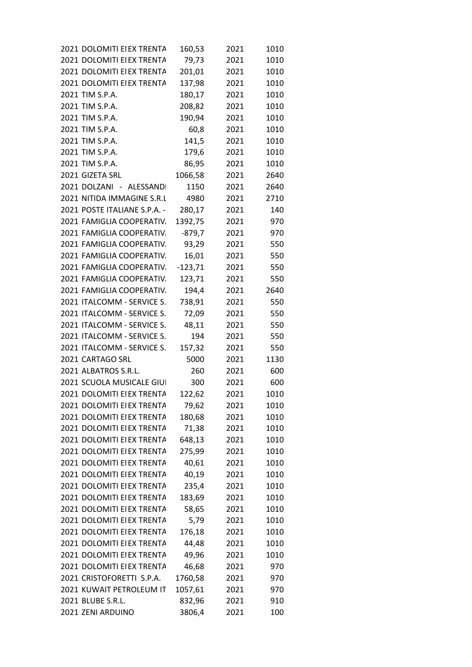| 2021 DOLOMITI EI EX TRENTA   | 160,53    | 2021 | 1010 |
|------------------------------|-----------|------|------|
| 2021 DOLOMITI EI EX TRENTA   | 79,73     | 2021 | 1010 |
| 2021 DOLOMITI EI EX TRENTA   | 201,01    | 2021 | 1010 |
| 2021 DOLOMITI EI EX TRENTA   | 137,98    | 2021 | 1010 |
| 2021 TIM S.P.A.              | 180,17    | 2021 | 1010 |
| 2021 TIM S.P.A.              | 208,82    | 2021 | 1010 |
| 2021 TIM S.P.A.              | 190,94    | 2021 | 1010 |
| 2021 TIM S.P.A.              | 60,8      | 2021 | 1010 |
| 2021 TIM S.P.A.              | 141,5     | 2021 | 1010 |
| 2021 TIM S.P.A.              | 179,6     | 2021 | 1010 |
| 2021 TIM S.P.A.              | 86,95     | 2021 | 1010 |
| 2021 GIZETA SRL              | 1066,58   | 2021 | 2640 |
| 2021 DOLZANI - ALESSANDI     | 1150      | 2021 | 2640 |
| 2021 NITIDA IMMAGINE S.R.L   | 4980      | 2021 | 2710 |
| 2021 POSTE ITALIANE S.P.A. - | 280,17    | 2021 | 140  |
| 2021 FAMIGLIA COOPERATIV.    | 1392,75   | 2021 | 970  |
| 2021 FAMIGLIA COOPERATIV.    | $-879,7$  | 2021 | 970  |
| 2021 FAMIGLIA COOPERATIV.    | 93,29     | 2021 | 550  |
| 2021 FAMIGLIA COOPERATIV.    | 16,01     | 2021 | 550  |
| 2021 FAMIGLIA COOPERATIV.    | $-123,71$ | 2021 | 550  |
| 2021 FAMIGLIA COOPERATIV.    | 123,71    | 2021 | 550  |
| 2021 FAMIGLIA COOPERATIV.    | 194,4     | 2021 | 2640 |
| 2021 ITALCOMM - SERVICE S.   | 738,91    | 2021 | 550  |
| 2021 ITALCOMM - SERVICE S.   | 72,09     | 2021 | 550  |
| 2021 ITALCOMM - SERVICE S.   | 48,11     | 2021 | 550  |
| 2021 ITALCOMM - SERVICE S.   | 194       | 2021 | 550  |
| 2021 ITALCOMM - SERVICE S.   | 157,32    | 2021 | 550  |
| 2021 CARTAGO SRL             | 5000      | 2021 | 1130 |
| 2021 ALBATROS S.R.L.         | 260       | 2021 | 600  |
| 2021 SCUOLA MUSICALE GIUI    | 300       | 2021 | 600  |
| 2021 DOLOMITI EI EX TRENTA   | 122,62    | 2021 | 1010 |
| 2021 DOLOMITI EI EX TRENTA   | 79,62     | 2021 | 1010 |
| 2021 DOLOMITI EI EX TRENTA   | 180,68    | 2021 | 1010 |
| 2021 DOLOMITI EI EX TRENTA   | 71,38     | 2021 | 1010 |
| 2021 DOLOMITI EI EX TRENTA   | 648,13    | 2021 | 1010 |
| 2021 DOLOMITI EI EX TRENTA   | 275,99    | 2021 | 1010 |
| 2021 DOLOMITI EI EX TRENTA   | 40,61     | 2021 | 1010 |
| 2021 DOLOMITI EI EX TRENTA   | 40,19     | 2021 | 1010 |
| 2021 DOLOMITI EI EX TRENTA   | 235,4     | 2021 | 1010 |
| 2021 DOLOMITI EI EX TRENTA   | 183,69    | 2021 | 1010 |
| 2021 DOLOMITI EI EX TRENTA   | 58,65     | 2021 | 1010 |
| 2021 DOLOMITI EI EX TRENTA   | 5,79      | 2021 | 1010 |
| 2021 DOLOMITI EI EX TRENTA   | 176,18    | 2021 | 1010 |
| 2021 DOLOMITI EI EX TRENTA   | 44,48     | 2021 | 1010 |
| 2021 DOLOMITI EI EX TRENTA   | 49,96     | 2021 | 1010 |
| 2021 DOLOMITI EI EX TRENTA   | 46,68     | 2021 | 970  |
| 2021 CRISTOFORETTI S.P.A.    | 1760,58   | 2021 | 970  |
| 2021 KUWAIT PETROLEUM IT     | 1057,61   | 2021 | 970  |
| 2021 BLUBE S.R.L.            | 832,96    | 2021 | 910  |
| 2021 ZENI ARDUINO            | 3806,4    | 2021 | 100  |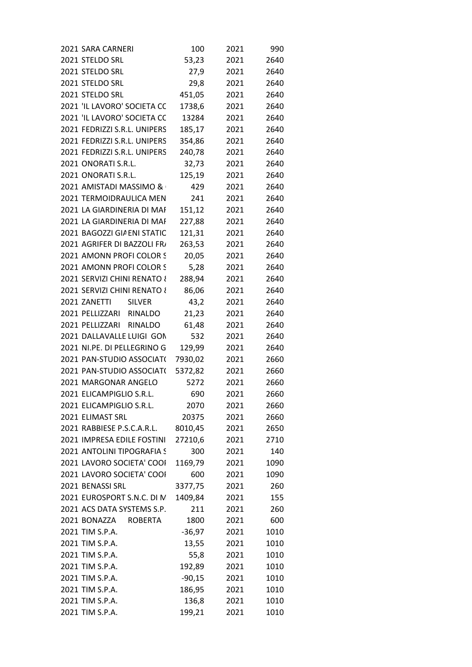| 2021 SARA CARNERI              | 100      | 2021 | 990  |
|--------------------------------|----------|------|------|
| 2021 STELDO SRL                | 53,23    | 2021 | 2640 |
| 2021 STELDO SRL                | 27,9     | 2021 | 2640 |
| 2021 STELDO SRL                | 29,8     | 2021 | 2640 |
| 2021 STELDO SRL                | 451,05   | 2021 | 2640 |
| 2021 'IL LAVORO' SOCIETA CC    | 1738,6   | 2021 | 2640 |
| 2021 'IL LAVORO' SOCIETA CC    | 13284    | 2021 | 2640 |
| 2021 FEDRIZZI S.R.L. UNIPERS   | 185,17   | 2021 | 2640 |
| 2021 FEDRIZZI S.R.L. UNIPERS   | 354,86   | 2021 | 2640 |
| 2021 FEDRIZZI S.R.L. UNIPERS   | 240,78   | 2021 | 2640 |
| 2021 ONORATI S.R.L.            | 32,73    | 2021 | 2640 |
| 2021 ONORATI S.R.L.            | 125,19   | 2021 | 2640 |
| 2021 AMISTADI MASSIMO &        | 429      | 2021 | 2640 |
| 2021 TERMOIDRAULICA MEN        | 241      | 2021 | 2640 |
| 2021 LA GIARDINERIA DI MAF     | 151,12   | 2021 | 2640 |
| 2021 LA GIARDINERIA DI MAF     | 227,88   | 2021 | 2640 |
| 2021 BAGOZZI GIA ENI STATIC    | 121,31   | 2021 | 2640 |
| 2021 AGRIFER DI BAZZOLI FR/    | 263,53   | 2021 | 2640 |
| 2021 AMONN PROFI COLOR S       | 20,05    | 2021 | 2640 |
| 2021 AMONN PROFI COLOR S       | 5,28     | 2021 | 2640 |
| 2021 SERVIZI CHINI RENATO {    | 288,94   | 2021 | 2640 |
| 2021 SERVIZI CHINI RENATO {    | 86,06    | 2021 | 2640 |
| 2021 ZANETTI<br><b>SILVER</b>  | 43,2     | 2021 | 2640 |
| 2021 PELLIZZARI RINALDO        | 21,23    | 2021 | 2640 |
| 2021 PELLIZZARI<br>RINALDO     | 61,48    | 2021 | 2640 |
| 2021 DALLAVALLE LUIGI GON      | 532      | 2021 | 2640 |
| 2021 NI.PE. DI PELLEGRINO G    | 129,99   | 2021 | 2640 |
| 2021 PAN-STUDIO ASSOCIAT(      | 7930,02  | 2021 | 2660 |
| 2021 PAN-STUDIO ASSOCIAT(      | 5372,82  | 2021 | 2660 |
| 2021 MARGONAR ANGELO           | 5272     | 2021 | 2660 |
| 2021 ELICAMPIGLIO S.R.L.       | 690      | 2021 | 2660 |
| 2021 ELICAMPIGLIO S.R.L.       | 2070     | 2021 | 2660 |
| 2021 ELIMAST SRL               | 20375    | 2021 | 2660 |
| 2021 RABBIESE P.S.C.A.R.L.     | 8010,45  | 2021 | 2650 |
| 2021 IMPRESA EDILE FOSTINI     | 27210,6  | 2021 | 2710 |
| 2021 ANTOLINI TIPOGRAFIA S     | 300      | 2021 | 140  |
| 2021 LAVORO SOCIETA' COOI      | 1169,79  | 2021 | 1090 |
| 2021 LAVORO SOCIETA' COOI      | 600      | 2021 | 1090 |
| 2021 BENASSI SRL               | 3377,75  | 2021 | 260  |
| 2021 EUROSPORT S.N.C. DI N     | 1409,84  | 2021 | 155  |
| 2021 ACS DATA SYSTEMS S.P.     | 211      | 2021 | 260  |
| 2021 BONAZZA<br><b>ROBERTA</b> | 1800     | 2021 | 600  |
| 2021 TIM S.P.A.                | $-36,97$ | 2021 | 1010 |
| 2021 TIM S.P.A.                | 13,55    | 2021 | 1010 |
| 2021 TIM S.P.A.                | 55,8     | 2021 | 1010 |
| 2021 TIM S.P.A.                | 192,89   | 2021 | 1010 |
| 2021 TIM S.P.A.                | $-90,15$ | 2021 | 1010 |
| 2021 TIM S.P.A.                | 186,95   | 2021 | 1010 |
| 2021 TIM S.P.A.                | 136,8    | 2021 | 1010 |
| 2021 TIM S.P.A.                | 199,21   | 2021 | 1010 |
|                                |          |      |      |